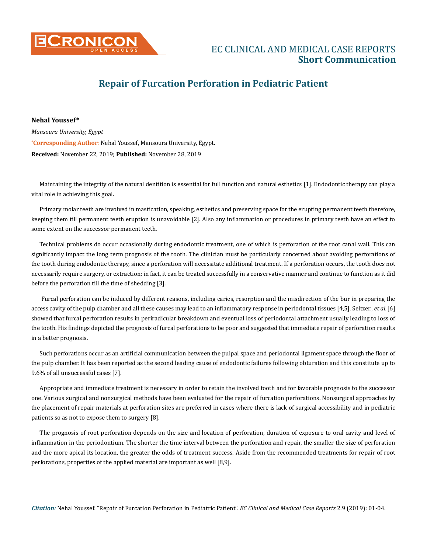

## **Repair of Furcation Perforation in Pediatric Patient**

**\* Corresponding Author**: Nehal Youssef, Mansoura University, Egypt. **Received:** November 22, 2019; **Published:** November 28, 2019 **Nehal Youssef\*** *Mansoura University, Egypt*

Maintaining the integrity of the natural dentition is essential for full function and natural esthetics [1]. Endodontic therapy can play a vital role in achieving this goal.

Primary molar teeth are involved in mastication, speaking, esthetics and preserving space for the erupting permanent teeth therefore, keeping them till permanent teeth eruption is unavoidable [2]. Also any inflammation or procedures in primary teeth have an effect to some extent on the successor permanent teeth.

Technical problems do occur occasionally during endodontic treatment, one of which is perforation of the root canal wall. This can significantly impact the long term prognosis of the tooth. The clinician must be particularly concerned about avoiding perforations of the tooth during endodontic therapy, since a perforation will necessitate additional treatment. If a perforation occurs, the tooth does not necessarily require surgery, or extraction; in fact, it can be treated successfully in a conservative manner and continue to function as it did before the perforation till the time of shedding [3].

 Furcal perforation can be induced by different reasons, including caries, resorption and the misdirection of the bur in preparing the access cavity of the pulp chamber and all these causes may lead to an inflammatory response in periodontal tissues [4,5]. Seltzer., *et al.*[6] showed that furcal perforation results in periradicular breakdown and eventual loss of periodontal attachment usually leading to loss of the tooth. His findings depicted the prognosis of furcal perforations to be poor and suggested that immediate repair of perforation results in a better prognosis.

Such perforations occur as an artificial communication between the pulpal space and periodontal ligament space through the floor of the pulp chamber. It has been reported as the second leading cause of endodontic failures following obturation and this constitute up to 9.6% of all unsuccessful cases [7].

Appropriate and immediate treatment is necessary in order to retain the involved tooth and for favorable prognosis to the successor one. Various surgical and nonsurgical methods have been evaluated for the repair of furcation perforations. Nonsurgical approaches by the placement of repair materials at perforation sites are preferred in cases where there is lack of surgical accessibility and in pediatric patients so as not to expose them to surgery [8].

The prognosis of root perforation depends on the size and location of perforation, duration of exposure to oral cavity and level of inflammation in the periodontium. The shorter the time interval between the perforation and repair, the smaller the size of perforation and the more apical its location, the greater the odds of treatment success. Aside from the recommended treatments for repair of root perforations, properties of the applied material are important as well [8,9].

*Citation:* Nehal Youssef*.* "Repair of Furcation Perforation in Pediatric Patient". *EC Clinical and Medical Case Reports* 2.9 (2019): 01-04.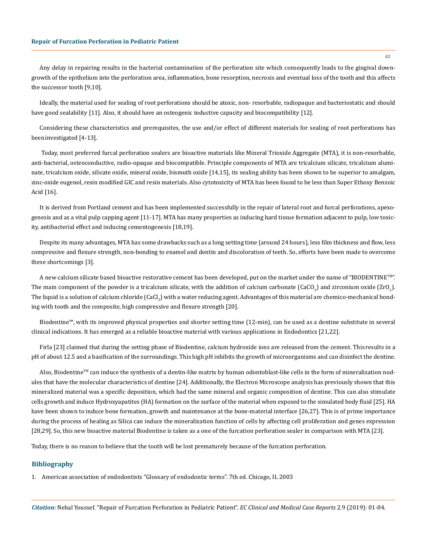Any delay in repairing results in the bacterial contamination of the perforation site which consequently leads to the gingival downgrowth of the epithelium into the perforation area, inflammation, bone resorption, necrosis and eventual loss of the toothand this affects the successor tooth [9,10].

Ideally, the material used for sealing of root perforations should be atoxic, non- resorbable, radiopaque and bacteriostatic and should have good sealability [11]. Also, it should have an osteogenic inductive capacity and biocompatibility [12].

Considering these characteristics and prerequisites, the use and/or effect of different materials for sealing of root perforations has beeninvestigated [4-13].

 Today, most preferred furcal perforation sealers are bioactive materials like Mineral Trioxide Aggregate (MTA), it is non-resorbable, anti-bacterial, osteoconductive, radio-opaque and biocompatible. Principle components of MTA are tricalcium silicate, tricalcium aluminate, tricalcium oxide, silicate oxide, mineral oxide, bismuth oxide [14,15], its sealing ability has been shown to be superior to amalgam, zinc-oxide eugenol, resin modified GIC and resin materials. Also cytotoxicity of MTA has been found to be less than Super Ethoxy Benzoic Acid [16].

It is derived from Portland cement and has been implemented successfully in the repair of lateral root and furcal perforations, apexogenesis and as a vital pulp capping agent [11-17]. MTA has many properties as inducing hard tissue formation adjacent to pulp, low toxicity, antibacterial effect and inducing cementogenesis [18,19].

Despite its many advantages, MTA has some drawbacks such as a long setting time (around 24 hours), less film thickness and flow, less compressive and flexure strength, non-bonding to enamel and dentin and discoloration of teeth. So, efforts have been made to overcome these shortcomings [3].

A new calcium silicate based bioactive restorative cement has been developed, put on the market under the name of "BIODENTINE<sup>TM</sup>". The main component of the powder is a tricalcium silicate, with the addition of calcium carbonate (CaCO<sub>3</sub>) and zirconium oxide (ZrO<sub>2</sub>). The liquid is a solution of calcium chloride  $\sf (CaCl_2)$  with a water reducing agent. Advantages of this material are chemico-mechanical bonding with tooth and the composite, high compressive and flexure strength [20].

Biodentine™, with its improved physical properties and shorter setting time (12-min), can be used as a dentine substitute in several clinical indications. It has emerged as a reliable bioactive material with various applications in Endodontics [21,22].

Firla [23] claimed that during the setting phase of Biodentine, calcium hydroxide ions are released from the cement. This results in a pH of about 12.5 and a basification of the surroundings. This high pH inhibits the growth of microorganisms and can disinfect the dentine.

Also, Biodentine™ can induce the synthesis of a dentin-like matrix by human odontoblast-like cells in the form of mineralization nodules that have the molecular characteristics of dentine [24]. Additionally, the Electron Microscope analysis has previously shown that this mineralized material was a specific deposition, which had the same mineral and organic composition of dentine. This can also stimulate cells growth and induce Hydroxyapatites (HA) formation on the surface of the material when exposed to the simulated body fluid [25]. HA have been shown to induce bone formation, growth and maintenance at the bone-material interface [26,27]. This is of prime importance during the process of healing as Silica can induce the mineralization function of cells by affecting cell proliferation and genes expression [28,29]. So, this new bioactive material Biodentine is taken as a one of the furcation perforation sealer in comparison with MTA [23].

Today, there is no reason to believe that the tooth will be lost prematurely because of the furcation perforation.

## **Bibliography**

1. [American association of endodontists "Glossary of endodontic terms". 7th ed. Chicago, IL 2003](https://www.aae.org/specialty/clinical-resources/glossary-endodontic-terms/)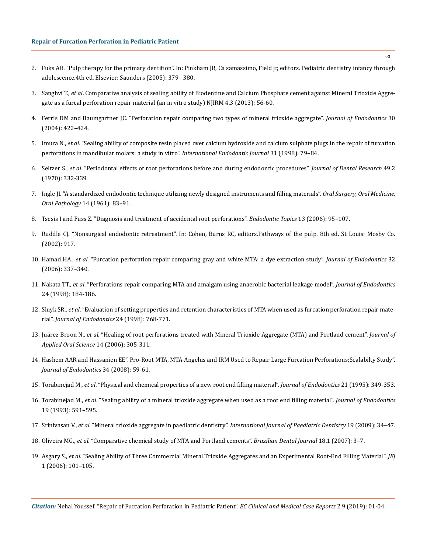- 2. Fuks AB. "Pulp therapy for the primary dentition". In: Pinkham JR, Ca samassimo, Field jr, editors. Pediatric dentistry infancy through adolescence.4th ed. Elsevier: Saunders (2005): 379– 380.
- 3. Sanghvi T., *et al*. Comparative analysis of sealing ability of Biodentine and Calcium Phosphate cement against Mineral Trioxide Aggregate as a furcal perforation repair material (an in vitro study) NJIRM 4.3 (2013): 56-60.
- 4. [Ferris DM and Baumgartner JC. "Perforation repair comparing two types of mineral trioxide aggregate".](https://www.jendodon.com/article/S0099-2399(05)60207-5/abstract) *Journal of Endodontics* 30 [\(2004\): 422–424.](https://www.jendodon.com/article/S0099-2399(05)60207-5/abstract)
- 5. Imura N., *et al*[. "Sealing ability of composite resin placed over calcium hydroxide and calcium sulphate plugs in the repair of furcation](https://www.ncbi.nlm.nih.gov/pubmed/9868932) [perforations in mandibular molars: a study in vitro".](https://www.ncbi.nlm.nih.gov/pubmed/9868932) *International Endodontic Journal* 31 (1998): 79–84.
- 6. Seltzer S., *et al*[. "Periodontal effects of root perforations before and during endodontic procedures".](https://www.ncbi.nlm.nih.gov/pubmed/4984781) *Journal of Dental Research* 49.2 [\(1970\): 332-339.](https://www.ncbi.nlm.nih.gov/pubmed/4984781)
- 7. [Ingle JI. "A standardized endodontic technique utilizing newly designed instruments and filling materials".](https://www.oooojournal.net/article/0030-4220(61)90477-7/abstract) *Oral Surgery, Oral Medicine, Oral Pathology* [14 \(1961\): 83–91.](https://www.oooojournal.net/article/0030-4220(61)90477-7/abstract)
- 8. [Tsesis I and Fuss Z. "Diagnosis and treatment of accidental root perforations".](https://onlinelibrary.wiley.com/doi/abs/10.1111/j.1601-1546.2006.00213.x) *Endodontic Topics* 13 (2006): 95–107.
- 9. Ruddle CJ. "Nonsurgical endodontic retreatment". In: Cohen, Burns RC, editors.Pathways of the pulp. 8th ed. St Louis: Mosby Co. (2002): 917.
- 10. Hamad HA., *et al*[. "Furcation perforation repair comparing gray and white MTA: a dye extraction study".](https://www.ncbi.nlm.nih.gov/pubmed/16554207) *Journal of Endodontics* 32 [\(2006\): 337–340.](https://www.ncbi.nlm.nih.gov/pubmed/16554207)
- 11. Nakata TT., *et al*[. "Perforations repair comparing MTA and amalgam using anaerobic bacterial leakage model".](https://suffolkrootcanal.co.uk/wp-content/uploads/2015/04/Perforation-repair-comparing-MTA-and-amalgam-using-an-anaerobic-bacterial-leakage-model-Nakata-Baumgartner-1998.pdf) *Journal of Endodontics* [24 \(1998\): 184-186.](https://suffolkrootcanal.co.uk/wp-content/uploads/2015/04/Perforation-repair-comparing-MTA-and-amalgam-using-an-anaerobic-bacterial-leakage-model-Nakata-Baumgartner-1998.pdf)
- 12. Sluyk SR., *et al*[. "Evaluation of setting properties and retention characteristics of MTA when used as furcation perforation repair mate](https://www.ncbi.nlm.nih.gov/pubmed/9855831)rial". *[Journal of Endodontics](https://www.ncbi.nlm.nih.gov/pubmed/9855831)* 24 (1998): 768-771.
- 13. Juárez Broon N., *et al*[. "Healing of root perforations treated with Mineral Trioxide Aggregate \(MTA\) and Portland cement".](https://www.ncbi.nlm.nih.gov/pmc/articles/PMC4327219/) *Journal of [Applied Oral Science](https://www.ncbi.nlm.nih.gov/pmc/articles/PMC4327219/)* 14 (2006): 305-311.
- 14. [Hashem AAR and Hassanien EE". Pro-Root MTA, MTA-Angelus and IRM Used to Repair Large Furcation Perforations:Sealabilty Study".](https://www.ncbi.nlm.nih.gov/pubmed/18155494) *[Journal of Endodontics](https://www.ncbi.nlm.nih.gov/pubmed/18155494)* 34 (2008): 59-61.
- 15. Torabinejad M., *et al*[. "Physical and chemical properties of a new root end filling material".](https://www.ncbi.nlm.nih.gov/pubmed/7499973) *Journal of Endodontics* 21 (1995): 349-353.
- 16. Torabinejad M., *et al*[. "Sealing ability of a mineral trioxide aggregate when used as a root end filling material".](https://www.ncbi.nlm.nih.gov/pubmed/8151252) *Journal of Endodontics* [19 \(1993\): 591–595.](https://www.ncbi.nlm.nih.gov/pubmed/8151252)
- 17. Srinivasan V., *et al*[. "Mineral trioxide aggregate in paediatric dentistry".](https://www.ncbi.nlm.nih.gov/pubmed/19120508) *International Journal of Paediatric Dentistry* 19 (2009): 34–47.
- 18. Oliveira MG., *et al*[. "Comparative chemical study of MTA and Portland cements".](https://www.ncbi.nlm.nih.gov/pubmed/17639192) *Brazilian Dental Journal* 18.1 (2007): 3–7.
- 19. Asgary S., *et al*[. "Sealing Ability of Three Commercial Mineral Trioxide Aggregates and an Experimental Root-End Filling Material".](https://www.ncbi.nlm.nih.gov/pmc/articles/PMC3895881/) *JEJ* [1 \(2006\): 101–105.](https://www.ncbi.nlm.nih.gov/pmc/articles/PMC3895881/)

*Citation:* Nehal Youssef*.* "Repair of Furcation Perforation in Pediatric Patient". *EC Clinical and Medical Case Reports* 2.9 (2019): 01-04.